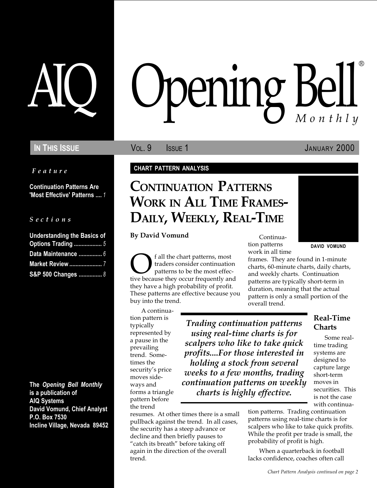Feature

Continuation Patterns Are 'Most Effective' Patterns .... 1

#### S e c t i o n s

| <b>Understanding the Basics of</b> |  |  |  |  |  |
|------------------------------------|--|--|--|--|--|
| Options Trading  5                 |  |  |  |  |  |
| Data Maintenance  6                |  |  |  |  |  |
| <b>Market Review </b> 7            |  |  |  |  |  |
| S&P 500 Changes  8                 |  |  |  |  |  |

The Opening Bell Monthly is a publication of AIQ Systems David Vomund, Chief Analyst P.O. Box 7530 Incline Village, Nevada 89452

# pening Bell ®

IN THIS ISSUE **State of Collaction Collaction** Service Collaction Collaction Collaction Collaction Collaction Col

### CHART PATTERN ANALYSIS

### CONTINUATION PATTERNS WORK IN ALL TIME FRAMES-DAILY, WEEKLY, REAL-TIME

By David Vomund

Of all the chart patterns, most tive because they occur frequently and traders consider continuation patterns to be the most effecthey have a high probability of profit. These patterns are effective because you buy into the trend.

A continuation pattern is typically represented by a pause in the prevailing trend. Sometimes the security's price moves sideways and forms a triangle pattern before the trend

Trading continuation patterns using real-time charts is for scalpers who like to take quick profits....For those interested in holding a stock from several weeks to a few months, trading continuation patterns on weekly charts is highly effective.

resumes. At other times there is a small pullback against the trend. In all cases, the security has a steep advance or decline and then briefly pauses to "catch its breath" before taking off again in the direction of the overall trend.

Continuation patterns work in all time DAVID VOMUND

frames. They are found in 1-minute charts, 60-minute charts, daily charts, and weekly charts. Continuation patterns are typically short-term in duration, meaning that the actual pattern is only a small portion of the overall trend.

> Real-Time Charts

Some realtime trading systems are designed to capture large short-term moves in securities. This is not the case with continua-

tion patterns. Trading continuation patterns using real-time charts is for scalpers who like to take quick profits. While the profit per trade is small, the probability of profit is high.

When a quarterback in football lacks confidence, coaches often call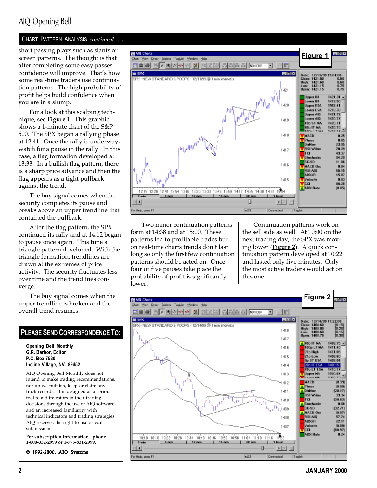### AIQ Opening Bell

### CHART PATTERN ANALYSIS continued . . .

short passing plays such as slants or screen patterns. The thought is that after completing some easy passes confidence will improve. That's how some real-time traders use continuation patterns. The high probability of profit helps build confidence when you are in a slump.

For a look at this scalping technique, see  $Figure 1$ . This graphic shows a 1-minute chart of the S&P 500. The SPX began a rallying phase at 12:41. Once the rally is underway, watch for a pause in the rally. In this case, a flag formation developed at 13:33. In a bullish flag pattern, there is a sharp price advance and then the flag appears as a tight pullback against the trend.

The buy signal comes when the security completes its pause and breaks above an upper trendline that contained the pullback.

After the flag pattern, the SPX continued its rally and at 14:12 began to pause once again. This time a triangle pattern developed. With the triangle formation, trendlines are drawn at the extremes of price activity. The security fluctuates less over time and the trendlines converge.

The buy signal comes when the upper trendline is broken and the overall trend resumes.

### PLEASE SEND CORRESPONDENCE TO:

Opening Bell Monthly G.R. Barbor, Editor P.O. Box 7530 Incline Village, NV 89452

AIQ Opening Bell Monthly does not intend to make trading recommendations, nor do we publish, keep or claim any track records. It is designed as a serious tool to aid investors in their trading decisions through the use of AIQ software and an increased familiarity with technical indicators and trading strategies. AIQ reserves the right to use or edit submissions.

For subscription information, phone 1-800-332-2999 or 1-775-831-2999.

© 1992-2000, AIQ Systems



Two minor continuation patterns form at 14:38 and at 15:00. These patterns led to profitable trades but on real-time charts trends don't last long so only the first few continuation patterns should be acted on. Once four or five pauses take place the probability of profit is significantly lower.

Continuation patterns work on the sell side as well. At 10:00 on the next trading day, the SPX was moving lower (**Figure 2**). A quick continuation pattern developed at 10:22 and lasted only five minutes. Only the most active traders would act on this one.

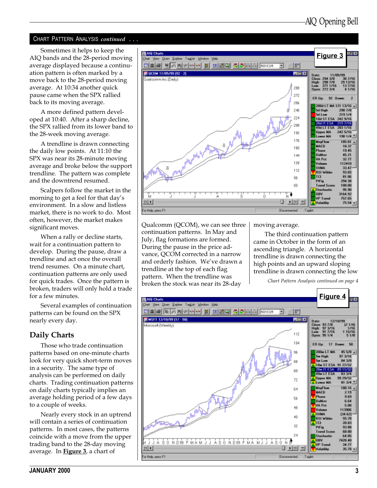### CHART PATTERN ANALYSIS *continued* ...

Sometimes it helps to keep the AIQ bands and the 28-period moving average displayed because a continuation pattern is often marked by a move back to the 28-period moving average. At 10:34 another quick pause came when the SPX rallied back to its moving average.

A more defined pattern developed at 10:40. After a sharp decline, the SPX rallied from its lower band to the 28-week moving average.

A trendline is drawn connecting the daily low points. At 11:10 the SPX was near its 28-minute moving average and broke below the support trendline. The pattern was complete and the downtrend resumed.

Scalpers follow the market in the morning to get a feel for that day's environment. In a slow and listless market, there is no work to do. Most often, however, the market makes significant moves.

When a rally or decline starts, wait for a continuation pattern to develop. During the pause, draw a trendline and act once the overall trend resumes. On a minute chart, continuation patterns are only used for quick trades. Once the pattern is broken, traders will only hold a trade for a few minutes.

Several examples of continuation patterns can be found on the SPX nearly every day.

### Daily Charts

Those who trade continuation patterns based on one-minute charts look for very quick short-term moves in a security. The same type of analysis can be performed on daily charts. Trading continuation patterns on daily charts typically implies an average holding period of a few days to a couple of weeks.

Nearly every stock in an uptrend will contain a series of continuation patterns. In most cases, the patterns coincide with a move from the upper trading band to the 28-day moving average. In Figure 3, a chart of



Qualcomm (QCOM), we can see three continuation patterns. In May and July, flag formations are formed. During the pause in the price advance, QCOM corrected in a narrow and orderly fashion. We've drawn a trendline at the top of each flag pattern. When the trendline was broken the stock was near its 28-day

moving average.

The third continuation pattern came in October in the form of an ascending triangle. A horizontal trendline is drawn connecting the high points and an upward sloping trendline is drawn connecting the low

Chart Pattern Analysis continued on page 4

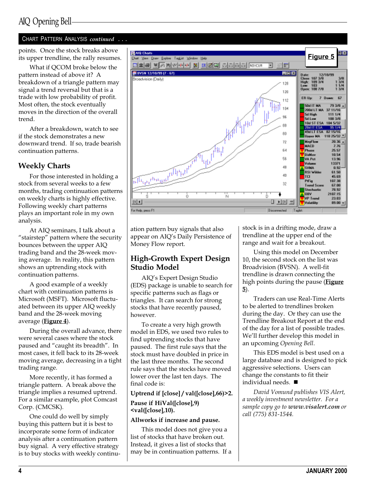### CHART PATTERN ANALYSIS continued . . .

What if QCOM broke below the pattern instead of above it? A breakdown of a triangle pattern may signal a trend reversal but that is a trade with low probability of profit. Most often, the stock eventually moves in the direction of the overall trend.

After a breakdown, watch to see if the stock demonstrates a new downward trend. If so, trade bearish continuation patterns.

### Weekly Charts

For those interested in holding a stock from several weeks to a few months, trading continuation patterns on weekly charts is highly effective. Following weekly chart patterns plays an important role in my own analysis.

At AIQ seminars, I talk about a "stairstep" pattern where the security bounces between the upper AIQ trading band and the 28-week moving average. In reality, this pattern shows an uptrending stock with continuation patterns.

A good example of a weekly chart with continuation patterns is Microsoft (MSFT). Microsoft fluctuated between its upper AIQ weekly band and the 28-week moving average (**Figure 4**).

During the overall advance, there were several cases where the stock paused and "caught its breadth". In most cases, it fell back to its 28-week moving average, decreasing in a tight trading range.

More recently, it has formed a triangle pattern. A break above the triangle implies a resumed uptrend. For a similar example, plot Comcast Corp. (CMCSK).

One could do well by simply buying this pattern but it is best to incorporate some form of indicator analysis after a continuation pattern buy signal. A very effective strategy is to buy stocks with weekly continu-



ation pattern buy signals that also appear on AIQ's Daily Persistence of Money Flow report.

### High-Growth Expert Design Studio Model

AIQ's Expert Design Studio (EDS) package is unable to search for specific patterns such as flags or triangles. It can search for strong stocks that have recently paused, however.

To create a very high growth model in EDS, we used two rules to find uptrending stocks that have paused. The first rule says that the stock must have doubled in price in the last three months. The second rule says that the stocks have moved lower over the last ten days. The final code is:

### Uptrend if [close] / val([close],66)>2. Pause if HiVal([close],9) <val([close],10).

### Allworks if increase and pause.

This model does not give you a list of stocks that have broken out. Instead, it gives a list of stocks that may be in continuation patterns. If a stock is in a drifting mode, draw a trendline at the upper end of the range and wait for a breakout.

Using this model on December 10, the second stock on the list was Broadvision (BVSN). A well-fit trendline is drawn connecting the high points during the pause (Figure 5).

Traders can use Real-Time Alerts to be alerted to trendlines broken during the day. Or they can use the Trendline Breakout Report at the end of the day for a list of possible trades. We'll further develop this model in an upcoming Opening Bell.

This EDS model is best used on a large database and is designed to pick aggressive selections. Users can change the constants to fit their individual needs.  $\blacksquare$ 

David Vomund publishes VIS Alert, a weekly investment newsletter. For a sample copy go to www.visalert.com or call (775) 831-1544.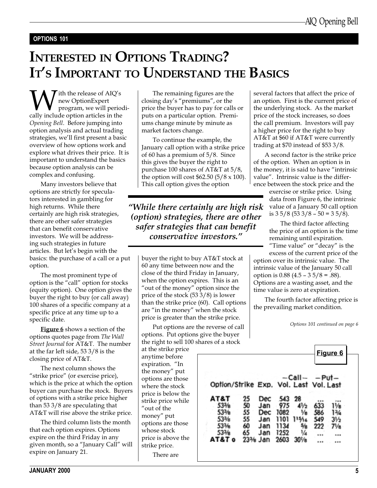### OPTIONS 101

## INTERESTED IN OPTIONS TRADING? IT'S IMPORTANT TO UNDERSTAND THE BASICS

**W**ith the release of AIQ's<br>program, we will period<br>cally include option articles in the new OptionExpert program, we will periodi-Opening Bell. Before jumping into option analysis and actual trading strategies, we'll first present a basic overview of how options work and explore what drives their price. It is important to understand the basics because option analysis can be complex and confusing.

Many investors believe that options are strictly for speculators interested in gambling for high returns. While there certainly are high risk strategies, there are other safer strategies that can benefit conservative investors. We will be addressing such strategies in future articles. But let's begin with the basics: the purchase of a call or a put option.

The most prominent type of option is the "call" option for stocks (equity option). One option gives the buyer the right to buy (or call away) 100 shares of a specific company at a specific price at any time up to a specific date.

**Figure 6** shows a section of the options quotes page from The Wall Street Journal for AT&T. The number at the far left side, 53 3/8 is the closing price of AT&T.

The next column shows the "strike price" (or exercise price), which is the price at which the option buyer can purchase the stock. Buyers of options with a strike price higher than 53 3/8 are speculating that AT&T will rise above the strike price.

The third column lists the month that each option expires. Options expire on the third Friday in any given month, so a "January Call" will expire on January 21.

The remaining figures are the closing day's "premiums", or the price the buyer has to pay for calls or puts on a particular option. Premiums change minute by minute as market factors change.

To continue the example, the January call option with a strike price of 60 has a premium of 5/8. Since this gives the buyer the right to purchase 100 shares of AT&T at 5/8, the option will cost  $$62.50$  (5/8 x 100). This call option gives the option

While there certainly are high risk (option) strategies, there are other safer strategies that can benefit conservative investors.

buyer the right to buy AT&T stock at 60 any time between now and the close of the third Friday in January, when the option expires. This is an "out of the money" option since the price of the stock (53 3/8) is lower than the strike price (60). Call options are "in the money" when the stock price is greater than the strike price.

Put options are the reverse of call options. Put options give the buyer the right to sell 100 sh

at the strike price anytime before expiration. "In the money" put options are those where the stock price is below the strike price while "out of the money" put options are those whose stock price is above the strike price. There are

several factors that affect the price of an option. First is the current price of the underlying stock. As the market price of the stock increases, so does the call premium. Investors will pay a higher price for the right to buy AT&T at \$60 if AT&T were currently trading at \$70 instead of \$53 3/8.

A second factor is the strike price of the option. When an option is in the money, it is said to have "intrinsic value". Intrinsic value is the difference between the stock price and the

> exercise or strike price. Using data from Figure 6, the intrinsic value of a January 50 call option is  $3\frac{5}{8}$  (53  $\frac{3}{8}$  - 50 = 3 5/8).

The third factor affecting the price of an option is the time remaining until expiration. "Time value" or "decay" is the

excess of the current price of the option over its intrinsic value. The intrinsic value of the January 50 call option is  $0.88$  (4.5 –  $3\frac{5}{8}$  = .88). Options are a wasting asset, and the time value is zero at expiration.

The fourth factor affecting price is the prevailing market condition.

Options 101 continued on page 6

|                                        |    |                       |      |              |     | Figure 6       |
|----------------------------------------|----|-----------------------|------|--------------|-----|----------------|
|                                        |    |                       |      | -Call- -Put- |     |                |
| Option/Strike Exp. Vol. Last Vol. Last |    |                       |      |              |     |                |
| AT&T                                   | 25 | Dec                   | 543  | 28           |     |                |
| 53% <sub>R</sub>                       | 50 | Jan                   | 975  | IJ,          | 633 | 11/s           |
| 53%                                    | 55 | Dec                   | 1082 | ₩            | 586 | 13⁄4           |
| 53 <sub>%</sub>                        | 55 | Jan                   | 1101 | 115/16       | 549 | $3\frac{1}{2}$ |
| 53%                                    | 60 | Jan                   | 1134 |              | 222 | 71⁄в           |
| 533%                                   | 65 | Jan                   | 1252 | ¼            |     |                |
| <b>AT&amp;T</b><br>$\mathbf o$         |    | 233⁄ <sub>8</sub> Jan | 2603 | $30\%$       |     |                |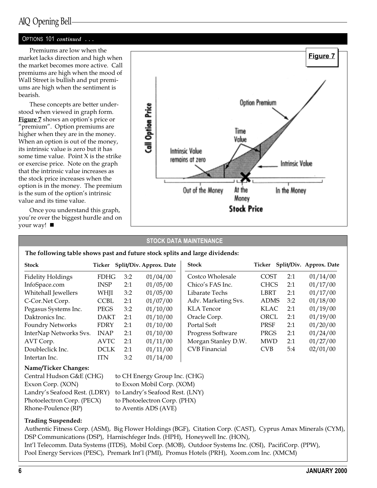### AIQ Opening Bell

### OPTIONS 101 continued ...

Premiums are low when the market lacks direction and high when the market becomes more active. Call premiums are high when the mood of Wall Street is bullish and put premiums are high when the sentiment is bearish.

These concepts are better understood when viewed in graph form. Figure 7 shows an option's price or "premium". Option premiums are higher when they are in the money. When an option is out of the money, its intrinsic value is zero but it has some time value. Point X is the strike or exercise price. Note on the graph that the intrinsic value increases as the stock price increases when the option is in the money. The premium is the sum of the option's intrinsic value and its time value.

Once you understand this graph, you're over the biggest hurdle and on your way!  $\blacksquare$ 



### STOCK DATA MAINTENANCE

The following table shows past and future stock splits and large dividends:

| <b>Stock</b>                | Ticker      |     | Split/Div. Approx. Date | <b>Stock</b>         | Ticker      |     | Split/Div. Approx. Date |
|-----------------------------|-------------|-----|-------------------------|----------------------|-------------|-----|-------------------------|
| <b>Fidelity Holdings</b>    | <b>FDHG</b> | 3:2 | 01/04/00                | Costco Wholesale     | <b>COST</b> | 2:1 | 01/14/00                |
| InfoSpace.com               | <b>INSP</b> | 2:1 | 01/05/00                | Chico's FAS Inc.     | <b>CHCS</b> | 2:1 | 01/17/00                |
| Whitehall Jewellers         | WHJI        | 3:2 | 01/05/00                | Libarate Techs       | <b>LBRT</b> | 2:1 | 01/17/00                |
| C-Cor.Net Corp.             | <b>CCBL</b> | 2:1 | 01/07/00                | Adv. Marketing Svs.  | <b>ADMS</b> | 3:2 | 01/18/00                |
| Pegasus Systems Inc.        | <b>PEGS</b> | 3:2 | 01/10/00                | <b>KLA</b> Tencor    | <b>KLAC</b> | 2:1 | 01/19/00                |
| Daktronics Inc.             | <b>DAKT</b> | 2:1 | 01/10/00                | Oracle Corp.         | ORCL        | 2:1 | 01/19/00                |
| <b>Foundry Networks</b>     | <b>FDRY</b> | 2:1 | 01/10/00                | Portal Soft          | PRSF        | 2:1 | 01/20/00                |
| InterNap Networks Svs.      | <b>INAP</b> | 2:1 | 01/10/00                | Progress Software    | PRGS        | 2:1 | 01/24/00                |
| AVT Corp.                   | <b>AVTC</b> | 2:1 | 01/11/00                | Morgan Stanley D.W.  | <b>MWD</b>  | 2:1 | 01/27/00                |
| Doubleclick Inc.            | <b>DCLK</b> | 2:1 | 01/11/00                | <b>CVB</b> Financial | <b>CVB</b>  | 5:4 | 02/01/00                |
| Intertan Inc.               | <b>ITN</b>  | 3:2 | 01/14/00                |                      |             |     |                         |
| <b>Name/Ticker Changes:</b> |             |     |                         |                      |             |     |                         |

| Central Hudson G&E (CHG)      | to CH Energy Group Inc. (CHG)   |
|-------------------------------|---------------------------------|
| Exxon Corp. (XON)             | to Exxon Mobil Corp. (XOM)      |
| Landry's Seafood Rest. (LDRY) | to Landry's Seafood Rest. (LNY) |
| Photoelectron Corp. (PECX)    | to Photoelectron Corp. (PHX)    |
| Rhone-Poulence (RP)           | to Aventis ADS (AVE)            |

### Trading Suspended:

Authentic Fitness Corp. (ASM), Big Flower Holdings (BGF), Citation Corp. (CAST), Cyprus Amax Minerals (CYM), DSP Communications (DSP), Harnischfeger Inds. (HPH), Honeywell Inc. (HON), Intl Telecomm. Data Systems (ITDS), Mobil Corp. (MOB), Outdoor Systems Inc. (OSI), PacifiCorp. (PPW), Pool Energy Services (PESC), Premark Int'l (PMI), Promus Hotels (PRH), Xoom.com Inc. (XMCM)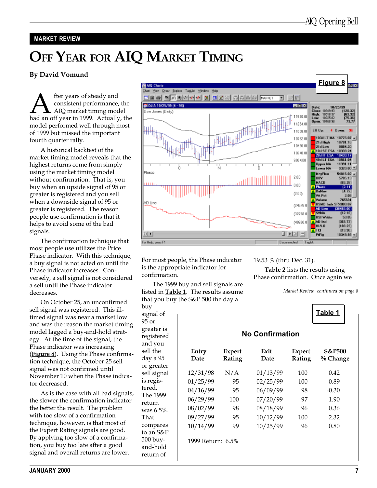### MARKET REVIEW

# OFF YEAR FOR AIQ MARKET TIMING

### By David Vomund

**A** fter years of steady and<br>
consistent performance, the<br>
had an off year in 1999. Actually, the consistent performance, the AIQ market timing model model performed well through most of 1999 but missed the important fourth quarter rally.

A historical backtest of the market timing model reveals that the highest returns come from simply using the market timing model without confirmation. That is, you buy when an upside signal of 95 or greater is registered and you sell when a downside signal of 95 or greater is registered. The reason people use confirmation is that it helps to avoid some of the bad signals.

The confirmation technique that most people use utilizes the Price Phase indicator. With this technique, a buy signal is not acted on until the Phase indicator increases. Conversely, a sell signal is not considered a sell until the Phase indicator decreases.

On October 25, an unconfirmed sell signal was registered. This illtimed signal was near a market low and was the reason the market timing model lagged a buy-and-hold strategy. At the time of the signal, the Phase indicator was increasing (**Figure 8**). Using the Phase confirmation technique, the October 25 sell signal was not confirmed until November 10 when the Phase indicator decreased.

As is the case with all bad signals, the slower the confirmation indicator the better the result. The problem with too slow of a confirmation technique, however, is that most of the Expert Rating signals are good. By applying too slow of a confirmation, you buy too late after a good signal and overall returns are lower.



For most people, the Phase indicator is the appropriate indicator for confirmation.

The 1999 buy and sell signals are listed in **Table 1**. The results assume that you buy the S&P 500 the day a

buy signal of 95 or greater is registered and you sell the day a 95 or greater sell signal is registered. The 1999 return was 6.5%. That compares to an S&P 500 buyand-hold return of

19.53 % (thru Dec. 31).

Table 2 lists the results using Phase confirmation. Once again we

Market Review continued on page 8

|               |                         | <b>No Confirmation</b> |                         |                               |
|---------------|-------------------------|------------------------|-------------------------|-------------------------------|
| Entry<br>Date | <b>Expert</b><br>Rating | Exit<br>Date           | <b>Expert</b><br>Rating | <b>S&amp;P500</b><br>% Change |
| 12/31/98      | N/A                     | 01/13/99               | 100                     | 0.42                          |
| 01/25/99      | 95                      | 02/25/99               | 100                     | 0.89                          |
| 04/16/99      | 95                      | 06/09/99               | 98                      | $-0.30$                       |
| 06/29/99      | 100                     | 07/20/99               | 97                      | 1.90                          |
| 08/02/99      | 98                      | 08/18/99               | 96                      | 0.36                          |
| 09/27/99      | 95                      | 10/12/99               | 100                     | 2.32                          |
| 10/14/99      | 99                      | 10/25/99               | 96                      | 0.80                          |